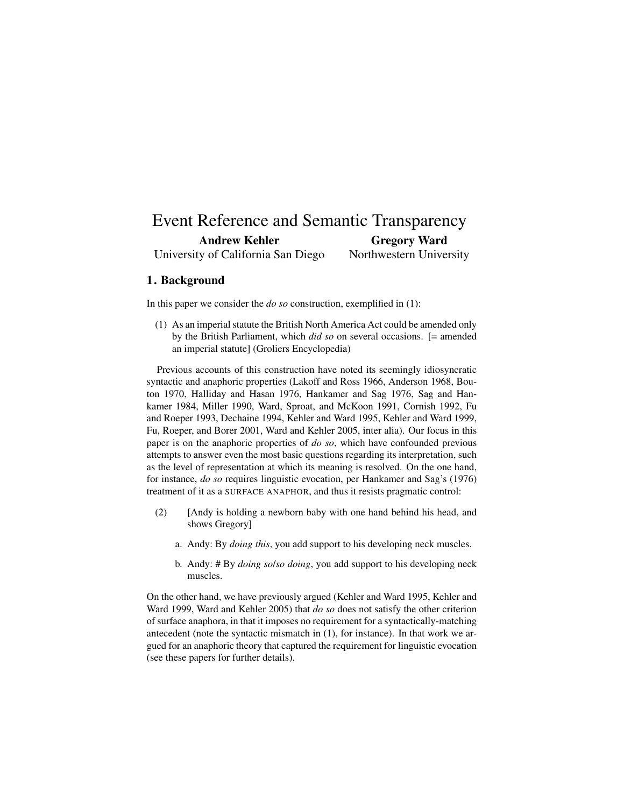#### Event Reference and Semantic Transparency Andrew Kehler University of California San Diego Gregory Ward Northwestern University

# 1. Background

In this paper we consider the *do so* construction, exemplified in (1):

(1) As an imperial statute the British North America Act could be amended only by the British Parliament, which *did so* on several occasions. [= amended an imperial statute] (Groliers Encyclopedia)

Previous accounts of this construction have noted its seemingly idiosyncratic syntactic and anaphoric properties (Lakoff and Ross 1966, Anderson 1968, Bouton 1970, Halliday and Hasan 1976, Hankamer and Sag 1976, Sag and Hankamer 1984, Miller 1990, Ward, Sproat, and McKoon 1991, Cornish 1992, Fu and Roeper 1993, Dechaine 1994, Kehler and Ward 1995, Kehler and Ward 1999, Fu, Roeper, and Borer 2001, Ward and Kehler 2005, inter alia). Our focus in this paper is on the anaphoric properties of *do so*, which have confounded previous attempts to answer even the most basic questions regarding its interpretation, such as the level of representation at which its meaning is resolved. On the one hand, for instance, *do so* requires linguistic evocation, per Hankamer and Sag's (1976) treatment of it as a SURFACE ANAPHOR, and thus it resists pragmatic control:

- (2) [Andy is holding a newborn baby with one hand behind his head, and shows Gregory]
	- a. Andy: By *doing this*, you add support to his developing neck muscles.
	- b. Andy: # By *doing so*/*so doing*, you add support to his developing neck muscles.

On the other hand, we have previously argued (Kehler and Ward 1995, Kehler and Ward 1999, Ward and Kehler 2005) that *do so* does not satisfy the other criterion of surface anaphora, in that it imposes no requirement for a syntactically-matching antecedent (note the syntactic mismatch in (1), for instance). In that work we argued for an anaphoric theory that captured the requirement for linguistic evocation (see these papers for further details).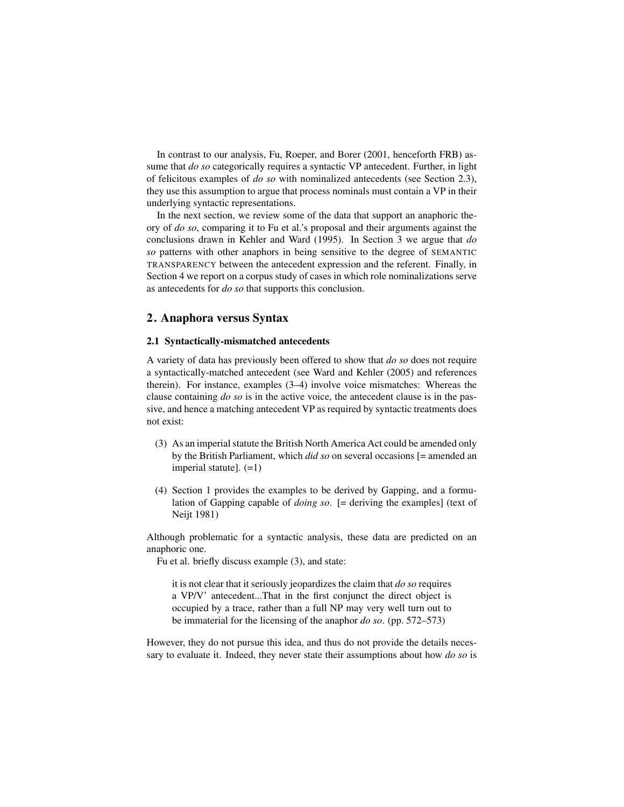In contrast to our analysis, Fu, Roeper, and Borer (2001, henceforth FRB) assume that *do so* categorically requires a syntactic VP antecedent. Further, in light of felicitous examples of *do so* with nominalized antecedents (see Section 2.3), they use this assumption to argue that process nominals must contain a VP in their underlying syntactic representations.

In the next section, we review some of the data that support an anaphoric theory of *do so*, comparing it to Fu et al.'s proposal and their arguments against the conclusions drawn in Kehler and Ward (1995). In Section 3 we argue that *do so* patterns with other anaphors in being sensitive to the degree of SEMANTIC TRANSPARENCY between the antecedent expression and the referent. Finally, in Section 4 we report on a corpus study of cases in which role nominalizations serve as antecedents for *do so* that supports this conclusion.

### 2. Anaphora versus Syntax

#### 2.1 Syntactically-mismatched antecedents

A variety of data has previously been offered to show that *do so* does not require a syntactically-matched antecedent (see Ward and Kehler (2005) and references therein). For instance, examples (3–4) involve voice mismatches: Whereas the clause containing *do so* is in the active voice, the antecedent clause is in the passive, and hence a matching antecedent VP as required by syntactic treatments does not exist:

- (3) As an imperial statute the British North America Act could be amended only by the British Parliament, which *did so* on several occasions [= amended an imperial statute]. (=1)
- (4) Section 1 provides the examples to be derived by Gapping, and a formulation of Gapping capable of *doing so*. [= deriving the examples] (text of Neijt 1981)

Although problematic for a syntactic analysis, these data are predicted on an anaphoric one.

Fu et al. briefly discuss example (3), and state:

it is not clear that it seriously jeopardizes the claim that *do so* requires a VP/V' antecedent...That in the first conjunct the direct object is occupied by a trace, rather than a full NP may very well turn out to be immaterial for the licensing of the anaphor *do so*. (pp. 572–573)

However, they do not pursue this idea, and thus do not provide the details necessary to evaluate it. Indeed, they never state their assumptions about how *do so* is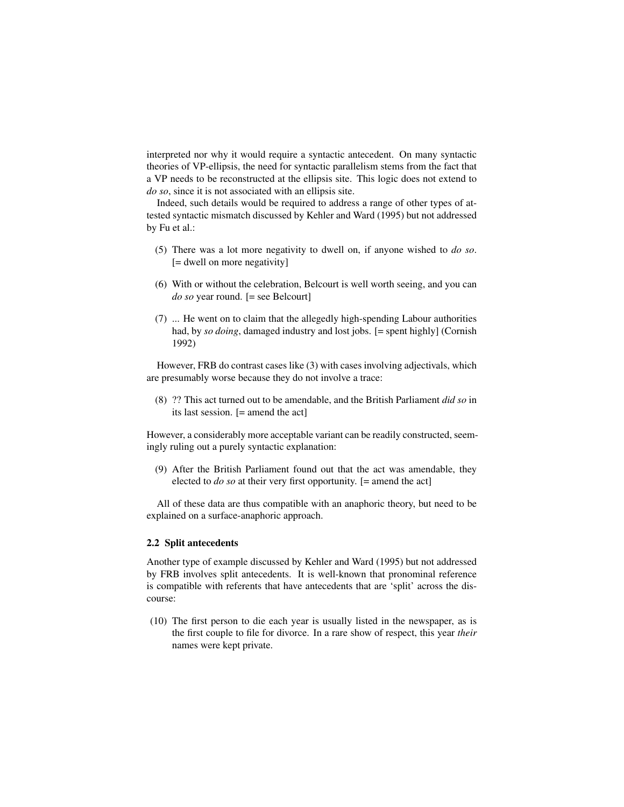interpreted nor why it would require a syntactic antecedent. On many syntactic theories of VP-ellipsis, the need for syntactic parallelism stems from the fact that a VP needs to be reconstructed at the ellipsis site. This logic does not extend to *do so*, since it is not associated with an ellipsis site.

Indeed, such details would be required to address a range of other types of attested syntactic mismatch discussed by Kehler and Ward (1995) but not addressed by Fu et al.:

- (5) There was a lot more negativity to dwell on, if anyone wished to *do so*. [= dwell on more negativity]
- (6) With or without the celebration, Belcourt is well worth seeing, and you can *do so* year round. [= see Belcourt]
- (7) ... He went on to claim that the allegedly high-spending Labour authorities had, by *so doing*, damaged industry and lost jobs. [= spent highly] (Cornish 1992)

However, FRB do contrast cases like (3) with cases involving adjectivals, which are presumably worse because they do not involve a trace:

(8) ?? This act turned out to be amendable, and the British Parliament *did so* in its last session. [= amend the act]

However, a considerably more acceptable variant can be readily constructed, seemingly ruling out a purely syntactic explanation:

(9) After the British Parliament found out that the act was amendable, they elected to *do so* at their very first opportunity. [= amend the act]

All of these data are thus compatible with an anaphoric theory, but need to be explained on a surface-anaphoric approach.

#### 2.2 Split antecedents

Another type of example discussed by Kehler and Ward (1995) but not addressed by FRB involves split antecedents. It is well-known that pronominal reference is compatible with referents that have antecedents that are 'split' across the discourse:

(10) The first person to die each year is usually listed in the newspaper, as is the first couple to file for divorce. In a rare show of respect, this year *their* names were kept private.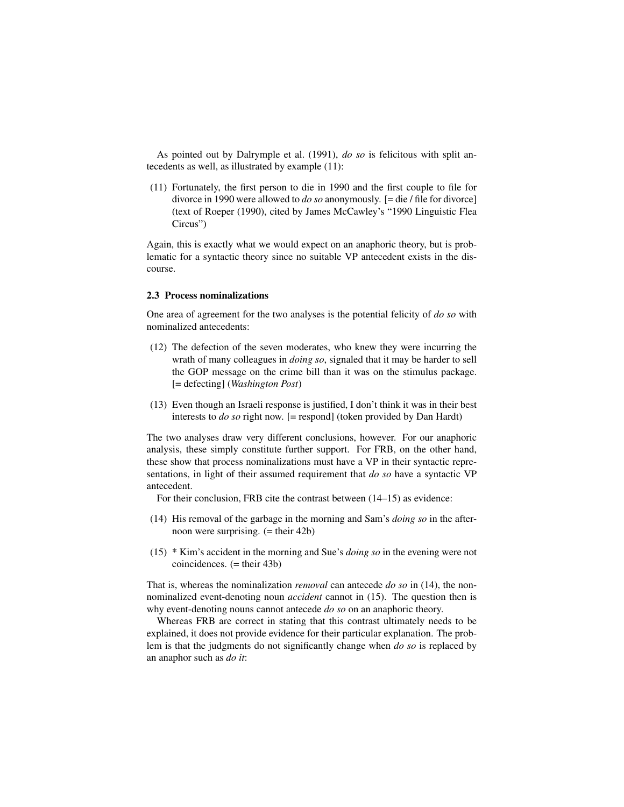As pointed out by Dalrymple et al. (1991), *do so* is felicitous with split antecedents as well, as illustrated by example (11):

(11) Fortunately, the first person to die in 1990 and the first couple to file for divorce in 1990 were allowed to *do so* anonymously. [= die / file for divorce] (text of Roeper (1990), cited by James McCawley's "1990 Linguistic Flea Circus")

Again, this is exactly what we would expect on an anaphoric theory, but is problematic for a syntactic theory since no suitable VP antecedent exists in the discourse.

#### 2.3 Process nominalizations

One area of agreement for the two analyses is the potential felicity of *do so* with nominalized antecedents:

- (12) The defection of the seven moderates, who knew they were incurring the wrath of many colleagues in *doing so*, signaled that it may be harder to sell the GOP message on the crime bill than it was on the stimulus package. [= defecting] (*Washington Post*)
- (13) Even though an Israeli response is justified, I don't think it was in their best interests to *do so* right now. [= respond] (token provided by Dan Hardt)

The two analyses draw very different conclusions, however. For our anaphoric analysis, these simply constitute further support. For FRB, on the other hand, these show that process nominalizations must have a VP in their syntactic representations, in light of their assumed requirement that *do so* have a syntactic VP antecedent.

For their conclusion, FRB cite the contrast between (14–15) as evidence:

- (14) His removal of the garbage in the morning and Sam's *doing so* in the afternoon were surprising. (= their 42b)
- (15) \* Kim's accident in the morning and Sue's *doing so* in the evening were not  $coincidences. (= their 43b)$

That is, whereas the nominalization *removal* can antecede *do so* in (14), the nonnominalized event-denoting noun *accident* cannot in (15). The question then is why event-denoting nouns cannot antecede *do so* on an anaphoric theory.

Whereas FRB are correct in stating that this contrast ultimately needs to be explained, it does not provide evidence for their particular explanation. The problem is that the judgments do not significantly change when *do so* is replaced by an anaphor such as *do it*: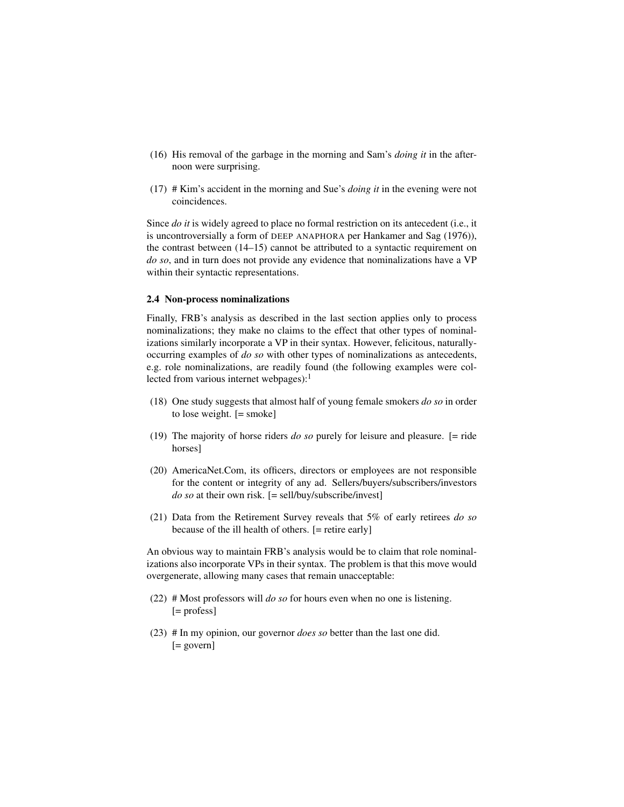- (16) His removal of the garbage in the morning and Sam's *doing it* in the afternoon were surprising.
- (17) # Kim's accident in the morning and Sue's *doing it* in the evening were not coincidences.

Since *do it* is widely agreed to place no formal restriction on its antecedent (i.e., it is uncontroversially a form of DEEP ANAPHORA per Hankamer and Sag (1976)), the contrast between (14–15) cannot be attributed to a syntactic requirement on *do so*, and in turn does not provide any evidence that nominalizations have a VP within their syntactic representations.

#### 2.4 Non-process nominalizations

Finally, FRB's analysis as described in the last section applies only to process nominalizations; they make no claims to the effect that other types of nominalizations similarly incorporate a VP in their syntax. However, felicitous, naturallyoccurring examples of *do so* with other types of nominalizations as antecedents, e.g. role nominalizations, are readily found (the following examples were collected from various internet webpages): $<sup>1</sup>$ </sup>

- (18) One study suggests that almost half of young female smokers *do so* in order to lose weight. [= smoke]
- (19) The majority of horse riders *do so* purely for leisure and pleasure. [= ride horses]
- (20) AmericaNet.Com, its officers, directors or employees are not responsible for the content or integrity of any ad. Sellers/buyers/subscribers/investors *do so* at their own risk. [= sell/buy/subscribe/invest]
- (21) Data from the Retirement Survey reveals that 5% of early retirees *do so* because of the ill health of others. [= retire early]

An obvious way to maintain FRB's analysis would be to claim that role nominalizations also incorporate VPs in their syntax. The problem is that this move would overgenerate, allowing many cases that remain unacceptable:

- (22) # Most professors will *do so* for hours even when no one is listening. [= profess]
- (23) # In my opinion, our governor *does so* better than the last one did. [= govern]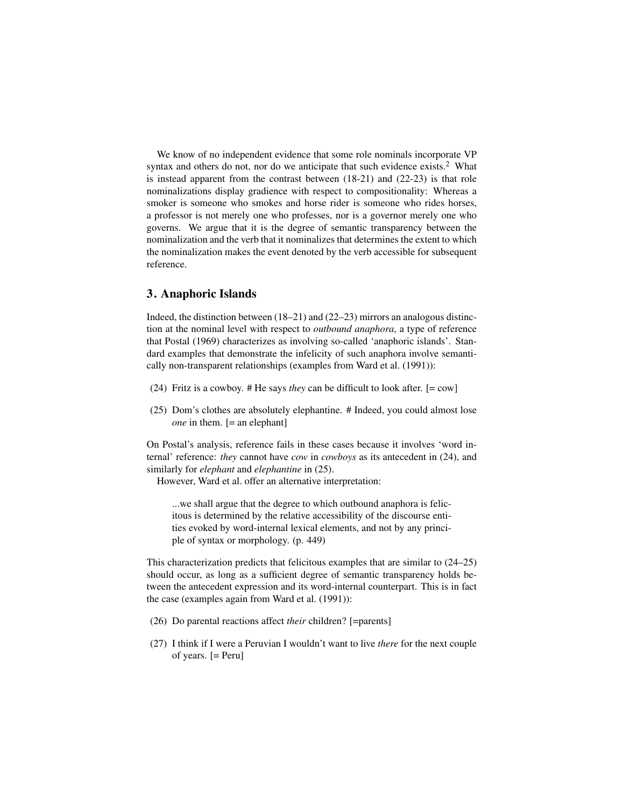We know of no independent evidence that some role nominals incorporate VP syntax and others do not, nor do we anticipate that such evidence exists.<sup>2</sup> What is instead apparent from the contrast between (18-21) and (22-23) is that role nominalizations display gradience with respect to compositionality: Whereas a smoker is someone who smokes and horse rider is someone who rides horses, a professor is not merely one who professes, nor is a governor merely one who governs. We argue that it is the degree of semantic transparency between the nominalization and the verb that it nominalizes that determines the extent to which the nominalization makes the event denoted by the verb accessible for subsequent reference.

### 3. Anaphoric Islands

Indeed, the distinction between (18–21) and (22–23) mirrors an analogous distinction at the nominal level with respect to *outbound anaphora*, a type of reference that Postal (1969) characterizes as involving so-called 'anaphoric islands'. Standard examples that demonstrate the infelicity of such anaphora involve semantically non-transparent relationships (examples from Ward et al. (1991)):

- (24) Fritz is a cowboy. # He says *they* can be difficult to look after. [= cow]
- (25) Dom's clothes are absolutely elephantine. # Indeed, you could almost lose *one* in them. [= an elephant]

On Postal's analysis, reference fails in these cases because it involves 'word internal' reference: *they* cannot have *cow* in *cowboys* as its antecedent in (24), and similarly for *elephant* and *elephantine* in (25).

However, Ward et al. offer an alternative interpretation:

...we shall argue that the degree to which outbound anaphora is felicitous is determined by the relative accessibility of the discourse entities evoked by word-internal lexical elements, and not by any principle of syntax or morphology. (p. 449)

This characterization predicts that felicitous examples that are similar to (24–25) should occur, as long as a sufficient degree of semantic transparency holds between the antecedent expression and its word-internal counterpart. This is in fact the case (examples again from Ward et al. (1991)):

- (26) Do parental reactions affect *their* children? [=parents]
- (27) I think if I were a Peruvian I wouldn't want to live *there* for the next couple of years. [= Peru]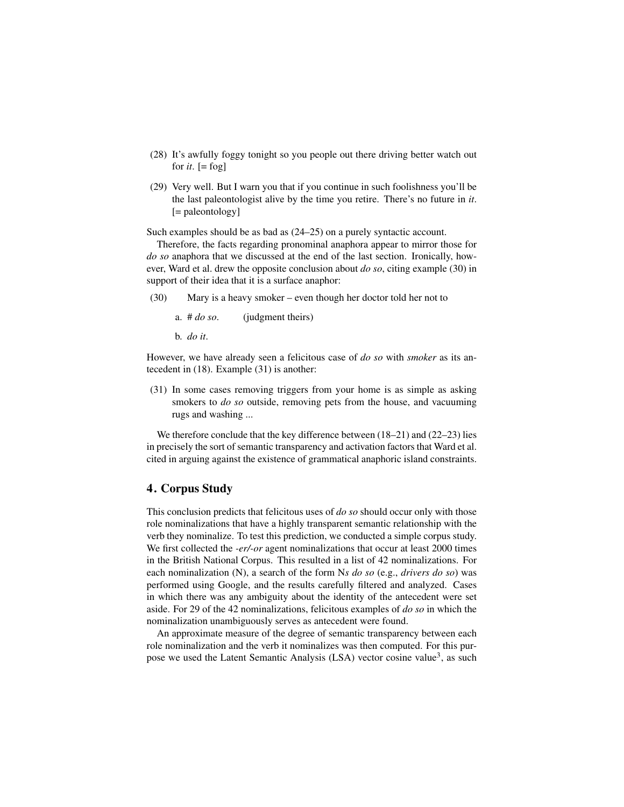- (28) It's awfully foggy tonight so you people out there driving better watch out for  $it$ .  $[=$  fog]
- (29) Very well. But I warn you that if you continue in such foolishness you'll be the last paleontologist alive by the time you retire. There's no future in *it*. [= paleontology]

Such examples should be as bad as (24–25) on a purely syntactic account.

Therefore, the facts regarding pronominal anaphora appear to mirror those for *do so* anaphora that we discussed at the end of the last section. Ironically, however, Ward et al. drew the opposite conclusion about *do so*, citing example (30) in support of their idea that it is a surface anaphor:

(30) Mary is a heavy smoker – even though her doctor told her not to

a. # *do so*. (judgment theirs)

b. *do it*.

However, we have already seen a felicitous case of *do so* with *smoker* as its antecedent in (18). Example (31) is another:

(31) In some cases removing triggers from your home is as simple as asking smokers to *do so* outside, removing pets from the house, and vacuuming rugs and washing ...

We therefore conclude that the key difference between (18–21) and (22–23) lies in precisely the sort of semantic transparency and activation factors that Ward et al. cited in arguing against the existence of grammatical anaphoric island constraints.

### 4. Corpus Study

This conclusion predicts that felicitous uses of *do so* should occur only with those role nominalizations that have a highly transparent semantic relationship with the verb they nominalize. To test this prediction, we conducted a simple corpus study. We first collected the *-er/-or* agent nominalizations that occur at least 2000 times in the British National Corpus. This resulted in a list of 42 nominalizations. For each nominalization (N), a search of the form N*s do so* (e.g., *drivers do so*) was performed using Google, and the results carefully filtered and analyzed. Cases in which there was any ambiguity about the identity of the antecedent were set aside. For 29 of the 42 nominalizations, felicitous examples of *do so* in which the nominalization unambiguously serves as antecedent were found.

An approximate measure of the degree of semantic transparency between each role nominalization and the verb it nominalizes was then computed. For this purpose we used the Latent Semantic Analysis (LSA) vector cosine value<sup>3</sup>, as such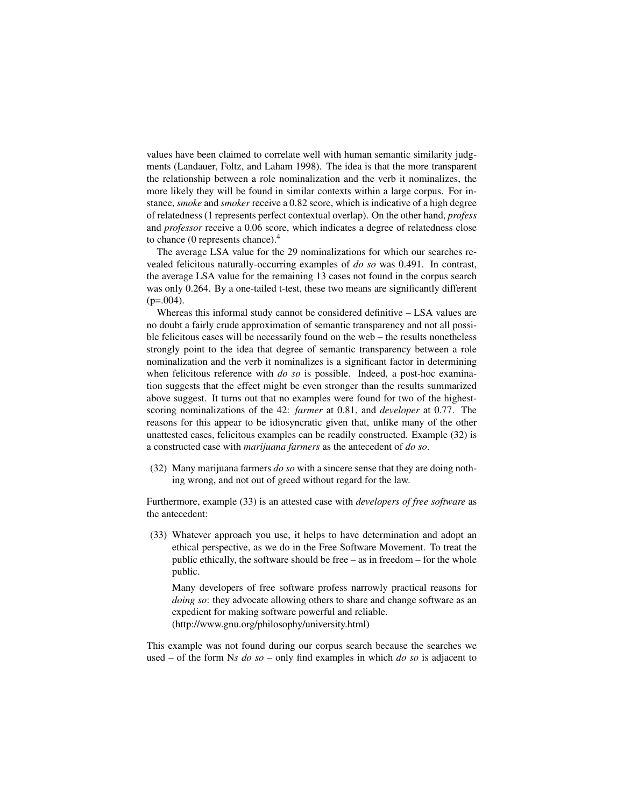values have been claimed to correlate well with human semantic similarity judgments (Landauer, Foltz, and Laham 1998). The idea is that the more transparent the relationship between a role nominalization and the verb it nominalizes, the more likely they will be found in similar contexts within a large corpus. For instance, *smoke* and *smoker* receive a 0.82 score, which is indicative of a high degree of relatedness (1 represents perfect contextual overlap). On the other hand, *profess* and *professor* receive a 0.06 score, which indicates a degree of relatedness close to chance (0 represents chance). $4$ 

The average LSA value for the 29 nominalizations for which our searches revealed felicitous naturally-occurring examples of *do so* was 0.491. In contrast, the average LSA value for the remaining 13 cases not found in the corpus search was only 0.264. By a one-tailed t-test, these two means are significantly different  $(p=.004)$ .

Whereas this informal study cannot be considered definitive – LSA values are no doubt a fairly crude approximation of semantic transparency and not all possible felicitous cases will be necessarily found on the web – the results nonetheless strongly point to the idea that degree of semantic transparency between a role nominalization and the verb it nominalizes is a significant factor in determining when felicitous reference with *do so* is possible. Indeed, a post-hoc examination suggests that the effect might be even stronger than the results summarized above suggest. It turns out that no examples were found for two of the highestscoring nominalizations of the 42: *farmer* at 0.81, and *developer* at 0.77. The reasons for this appear to be idiosyncratic given that, unlike many of the other unattested cases, felicitous examples can be readily constructed. Example (32) is a constructed case with *marijuana farmers* as the antecedent of *do so*.

(32) Many marijuana farmers *do so* with a sincere sense that they are doing nothing wrong, and not out of greed without regard for the law.

Furthermore, example (33) is an attested case with *developers of free software* as the antecedent:

(33) Whatever approach you use, it helps to have determination and adopt an ethical perspective, as we do in the Free Software Movement. To treat the public ethically, the software should be free – as in freedom – for the whole public.

Many developers of free software profess narrowly practical reasons for *doing so*: they advocate allowing others to share and change software as an expedient for making software powerful and reliable. (http://www.gnu.org/philosophy/university.html)

This example was not found during our corpus search because the searches we used – of the form N*s do so* – only find examples in which *do so* is adjacent to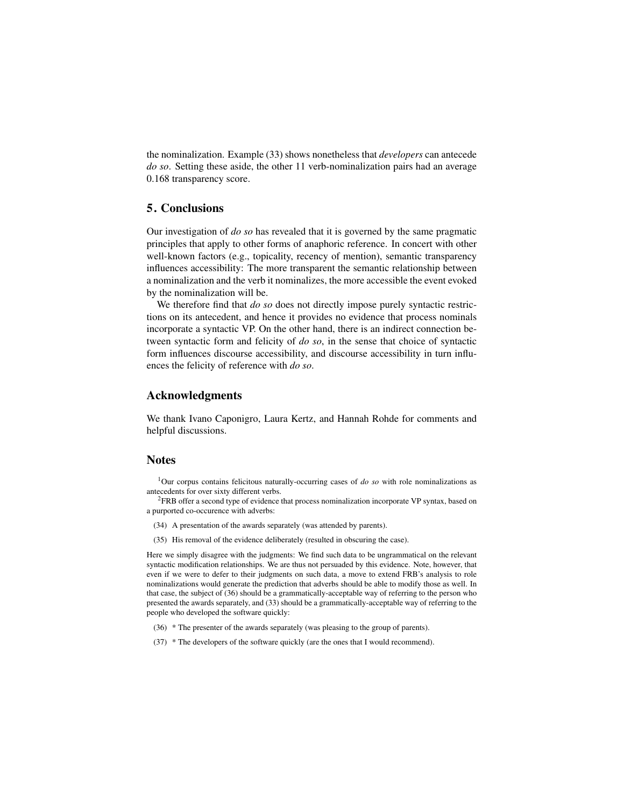the nominalization. Example (33) shows nonetheless that *developers* can antecede *do so*. Setting these aside, the other 11 verb-nominalization pairs had an average 0.168 transparency score.

# 5. Conclusions

Our investigation of *do so* has revealed that it is governed by the same pragmatic principles that apply to other forms of anaphoric reference. In concert with other well-known factors (e.g., topicality, recency of mention), semantic transparency influences accessibility: The more transparent the semantic relationship between a nominalization and the verb it nominalizes, the more accessible the event evoked by the nominalization will be.

We therefore find that *do so* does not directly impose purely syntactic restrictions on its antecedent, and hence it provides no evidence that process nominals incorporate a syntactic VP. On the other hand, there is an indirect connection between syntactic form and felicity of *do so*, in the sense that choice of syntactic form influences discourse accessibility, and discourse accessibility in turn influences the felicity of reference with *do so*.

### Acknowledgments

We thank Ivano Caponigro, Laura Kertz, and Hannah Rohde for comments and helpful discussions.

# **Notes**

<sup>1</sup>Our corpus contains felicitous naturally-occurring cases of *do so* with role nominalizations as antecedents for over sixty different verbs.

 ${}^{2}$ FRB offer a second type of evidence that process nominalization incorporate VP syntax, based on a purported co-occurence with adverbs:

- (34) A presentation of the awards separately (was attended by parents).
- (35) His removal of the evidence deliberately (resulted in obscuring the case).

Here we simply disagree with the judgments: We find such data to be ungrammatical on the relevant syntactic modification relationships. We are thus not persuaded by this evidence. Note, however, that even if we were to defer to their judgments on such data, a move to extend FRB's analysis to role nominalizations would generate the prediction that adverbs should be able to modify those as well. In that case, the subject of (36) should be a grammatically-acceptable way of referring to the person who presented the awards separately, and (33) should be a grammatically-acceptable way of referring to the people who developed the software quickly:

- (36) \* The presenter of the awards separately (was pleasing to the group of parents).
- (37) \* The developers of the software quickly (are the ones that I would recommend).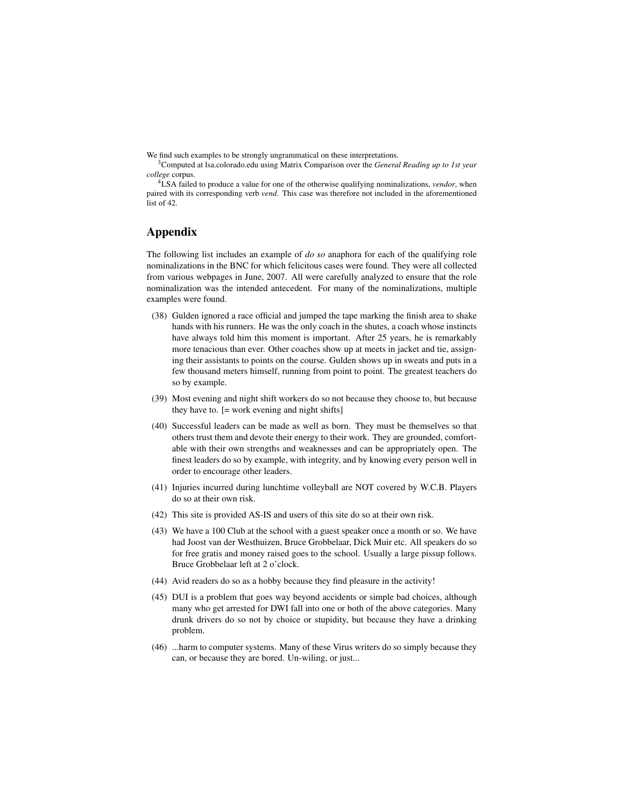We find such examples to be strongly ungrammatical on these interpretations.

<sup>4</sup>LSA failed to produce a value for one of the otherwise qualifying nominalizations, *vendor*, when paired with its corresponding verb *vend*. This case was therefore not included in the aforementioned list of 42.

# Appendix

The following list includes an example of *do so* anaphora for each of the qualifying role nominalizations in the BNC for which felicitous cases were found. They were all collected from various webpages in June, 2007. All were carefully analyzed to ensure that the role nominalization was the intended antecedent. For many of the nominalizations, multiple examples were found.

- (38) Gulden ignored a race official and jumped the tape marking the finish area to shake hands with his runners. He was the only coach in the shutes, a coach whose instincts have always told him this moment is important. After 25 years, he is remarkably more tenacious than ever. Other coaches show up at meets in jacket and tie, assigning their assistants to points on the course. Gulden shows up in sweats and puts in a few thousand meters himself, running from point to point. The greatest teachers do so by example.
- (39) Most evening and night shift workers do so not because they choose to, but because they have to. [= work evening and night shifts]
- (40) Successful leaders can be made as well as born. They must be themselves so that others trust them and devote their energy to their work. They are grounded, comfortable with their own strengths and weaknesses and can be appropriately open. The finest leaders do so by example, with integrity, and by knowing every person well in order to encourage other leaders.
- (41) Injuries incurred during lunchtime volleyball are NOT covered by W.C.B. Players do so at their own risk.
- (42) This site is provided AS-IS and users of this site do so at their own risk.
- (43) We have a 100 Club at the school with a guest speaker once a month or so. We have had Joost van der Westhuizen, Bruce Grobbelaar, Dick Muir etc. All speakers do so for free gratis and money raised goes to the school. Usually a large pissup follows. Bruce Grobbelaar left at 2 o'clock.
- (44) Avid readers do so as a hobby because they find pleasure in the activity!
- (45) DUI is a problem that goes way beyond accidents or simple bad choices, although many who get arrested for DWI fall into one or both of the above categories. Many drunk drivers do so not by choice or stupidity, but because they have a drinking problem.
- (46) ...harm to computer systems. Many of these Virus writers do so simply because they can, or because they are bored. Un-wiling, or just...

<sup>3</sup>Computed at lsa.colorado.edu using Matrix Comparison over the *General Reading up to 1st year college* corpus.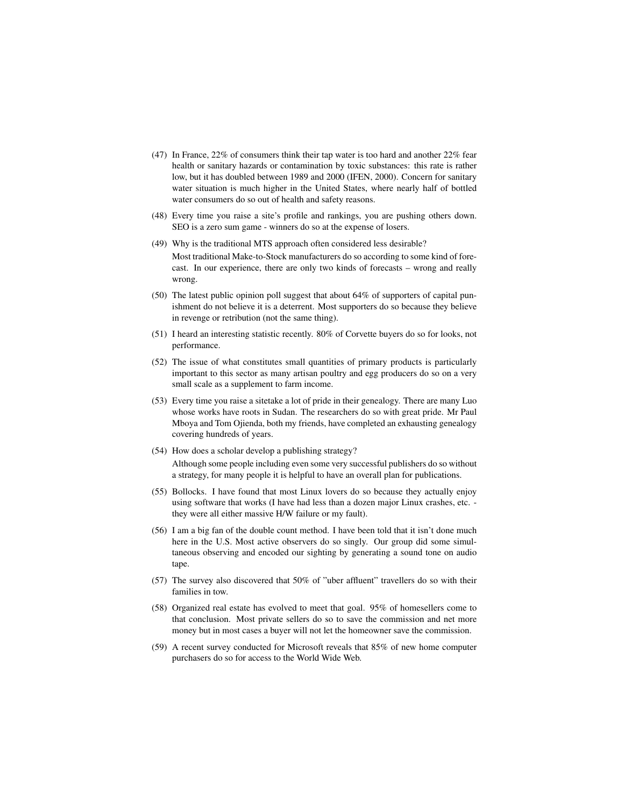- (47) In France, 22% of consumers think their tap water is too hard and another 22% fear health or sanitary hazards or contamination by toxic substances: this rate is rather low, but it has doubled between 1989 and 2000 (IFEN, 2000). Concern for sanitary water situation is much higher in the United States, where nearly half of bottled water consumers do so out of health and safety reasons.
- (48) Every time you raise a site's profile and rankings, you are pushing others down. SEO is a zero sum game - winners do so at the expense of losers.
- (49) Why is the traditional MTS approach often considered less desirable? Most traditional Make-to-Stock manufacturers do so according to some kind of forecast. In our experience, there are only two kinds of forecasts – wrong and really wrong.
- (50) The latest public opinion poll suggest that about 64% of supporters of capital punishment do not believe it is a deterrent. Most supporters do so because they believe in revenge or retribution (not the same thing).
- (51) I heard an interesting statistic recently. 80% of Corvette buyers do so for looks, not performance.
- (52) The issue of what constitutes small quantities of primary products is particularly important to this sector as many artisan poultry and egg producers do so on a very small scale as a supplement to farm income.
- (53) Every time you raise a sitetake a lot of pride in their genealogy. There are many Luo whose works have roots in Sudan. The researchers do so with great pride. Mr Paul Mboya and Tom Ojienda, both my friends, have completed an exhausting genealogy covering hundreds of years.
- (54) How does a scholar develop a publishing strategy? Although some people including even some very successful publishers do so without a strategy, for many people it is helpful to have an overall plan for publications.
- (55) Bollocks. I have found that most Linux lovers do so because they actually enjoy using software that works (I have had less than a dozen major Linux crashes, etc. they were all either massive H/W failure or my fault).
- (56) I am a big fan of the double count method. I have been told that it isn't done much here in the U.S. Most active observers do so singly. Our group did some simultaneous observing and encoded our sighting by generating a sound tone on audio tape.
- (57) The survey also discovered that 50% of "uber affluent" travellers do so with their families in tow.
- (58) Organized real estate has evolved to meet that goal. 95% of homesellers come to that conclusion. Most private sellers do so to save the commission and net more money but in most cases a buyer will not let the homeowner save the commission.
- (59) A recent survey conducted for Microsoft reveals that 85% of new home computer purchasers do so for access to the World Wide Web.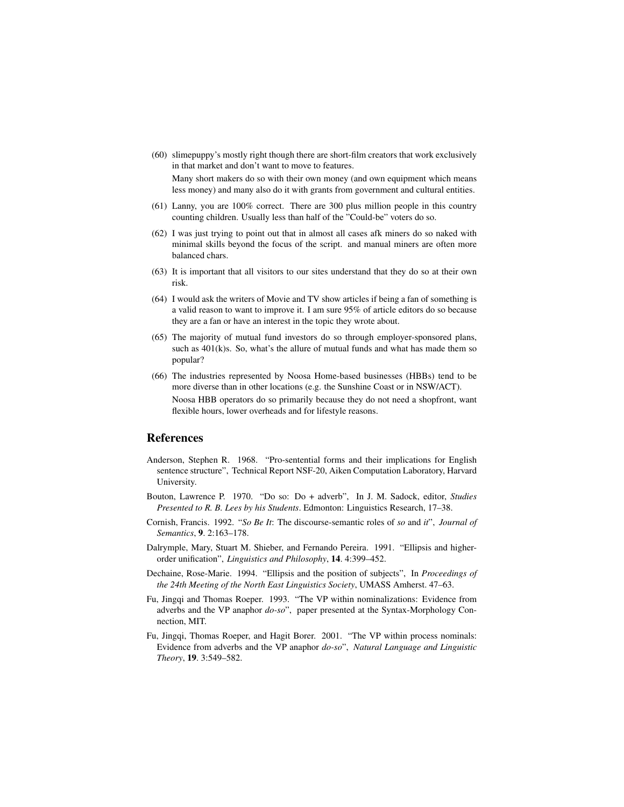(60) slimepuppy's mostly right though there are short-film creators that work exclusively in that market and don't want to move to features.

Many short makers do so with their own money (and own equipment which means less money) and many also do it with grants from government and cultural entities.

- (61) Lanny, you are 100% correct. There are 300 plus million people in this country counting children. Usually less than half of the "Could-be" voters do so.
- (62) I was just trying to point out that in almost all cases afk miners do so naked with minimal skills beyond the focus of the script. and manual miners are often more balanced chars.
- (63) It is important that all visitors to our sites understand that they do so at their own risk.
- (64) I would ask the writers of Movie and TV show articles if being a fan of something is a valid reason to want to improve it. I am sure 95% of article editors do so because they are a fan or have an interest in the topic they wrote about.
- (65) The majority of mutual fund investors do so through employer-sponsored plans, such as  $401(k)s$ . So, what's the allure of mutual funds and what has made them so popular?
- (66) The industries represented by Noosa Home-based businesses (HBBs) tend to be more diverse than in other locations (e.g. the Sunshine Coast or in NSW/ACT). Noosa HBB operators do so primarily because they do not need a shopfront, want flexible hours, lower overheads and for lifestyle reasons.

### References

- Anderson, Stephen R. 1968. "Pro-sentential forms and their implications for English sentence structure", Technical Report NSF-20, Aiken Computation Laboratory, Harvard University.
- Bouton, Lawrence P. 1970. "Do so: Do + adverb", In J. M. Sadock, editor, *Studies Presented to R. B. Lees by his Students*. Edmonton: Linguistics Research, 17–38.
- Cornish, Francis. 1992. "*So Be It*: The discourse-semantic roles of *so* and *it*", *Journal of Semantics*, 9. 2:163–178.
- Dalrymple, Mary, Stuart M. Shieber, and Fernando Pereira. 1991. "Ellipsis and higherorder unification", *Linguistics and Philosophy*, 14. 4:399–452.
- Dechaine, Rose-Marie. 1994. "Ellipsis and the position of subjects", In *Proceedings of the 24th Meeting of the North East Linguistics Society*, UMASS Amherst. 47–63.
- Fu, Jingqi and Thomas Roeper. 1993. "The VP within nominalizations: Evidence from adverbs and the VP anaphor *do-so*", paper presented at the Syntax-Morphology Connection, MIT.
- Fu, Jingqi, Thomas Roeper, and Hagit Borer. 2001. "The VP within process nominals: Evidence from adverbs and the VP anaphor *do-so*", *Natural Language and Linguistic Theory*, 19. 3:549–582.